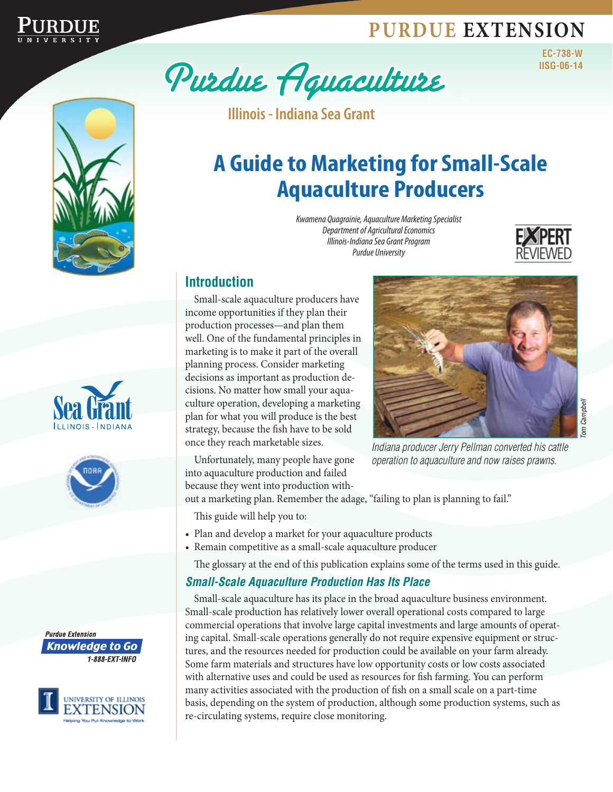# **Purdue Extension**













**Illinois - Indiana Sea Grant**

# **A Guide to Marketing for Small-Scale Aquaculture Producers**

*Kwamena Quagrainie, Aquaculture Marketing Specialist Department of Agricultural Economics Illinois-Indiana Sea Grant Program Purdue University*



**EC-738-W**

## **Introduction**

Small-scale aquaculture producers have income opportunities if they plan their production processes—and plan them well. One of the fundamental principles in marketing is to make it part of the overall planning process. Consider marketing decisions as important as production decisions. No matter how small your aquaculture operation, developing a marketing plan for what you will produce is the best strategy, because the fish have to be sold once they reach marketable sizes.

Unfortunately, many people have gone into aquaculture production and failed because they went into production with-



*Indiana producer Jerry Pellman converted his cattle operation to aquaculture and now raises prawns.*

out a marketing plan. Remember the adage, "failing to plan is planning to fail."

This guide will help you to:

- Plan and develop a market for your aquaculture products
- Remain competitive as a small-scale aquaculture producer

The glossary at the end of this publication explains some of the terms used in this guide.

## *Small-Scale Aquaculture Production Has Its Place*

Small-scale aquaculture has its place in the broad aquaculture business environment. Small-scale production has relatively lower overall operational costs compared to large commercial operations that involve large capital investments and large amounts of operating capital. Small-scale operations generally do not require expensive equipment or structures, and the resources needed for production could be available on your farm already. Some farm materials and structures have low opportunity costs or low costs associated with alternative uses and could be used as resources for fish farming. You can perform many activities associated with the production of fish on a small scale on a part-time basis, depending on the system of production, although some production systems, such as re-circulating systems, require close monitoring.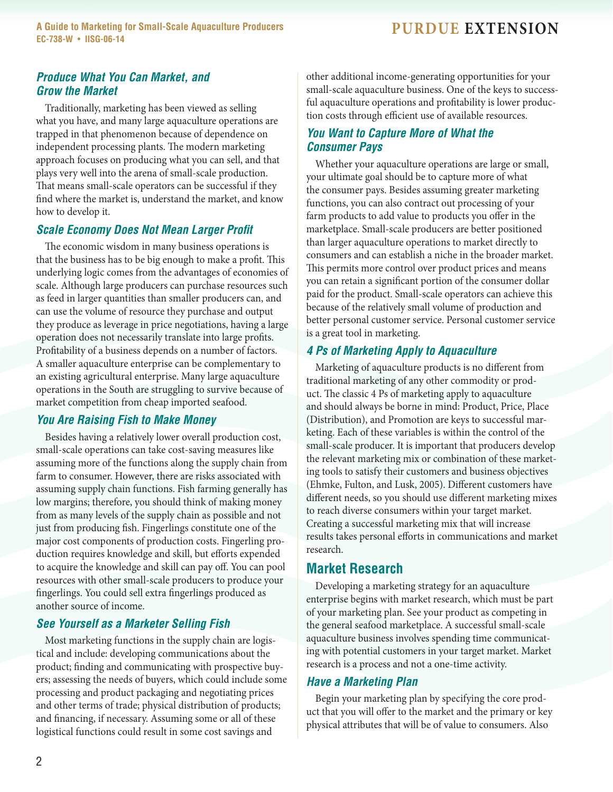**A** Guide to Marketing for Small-Scale Aquaculture Producers **PURDUE** EXTENSION **EC-738-W** • **IISG-06-14**

### *Produce What You Can Market, and Grow the Market*

Traditionally, marketing has been viewed as selling what you have, and many large aquaculture operations are trapped in that phenomenon because of dependence on independent processing plants. The modern marketing approach focuses on producing what you can sell, and that plays very well into the arena of small-scale production. That means small-scale operators can be successful if they find where the market is, understand the market, and know how to develop it.

## *Scale Economy Does Not Mean Larger Profit*

The economic wisdom in many business operations is that the business has to be big enough to make a profit. This underlying logic comes from the advantages of economies of scale. Although large producers can purchase resources such as feed in larger quantities than smaller producers can, and can use the volume of resource they purchase and output they produce as leverage in price negotiations, having a large operation does not necessarily translate into large profits. Profitability of a business depends on a number of factors. A smaller aquaculture enterprise can be complementary to an existing agricultural enterprise. Many large aquaculture operations in the South are struggling to survive because of market competition from cheap imported seafood.

### *You Are Raising Fish to Make Money*

Besides having a relatively lower overall production cost, small-scale operations can take cost-saving measures like assuming more of the functions along the supply chain from farm to consumer. However, there are risks associated with assuming supply chain functions. Fish farming generally has low margins; therefore, you should think of making money from as many levels of the supply chain as possible and not just from producing fish. Fingerlings constitute one of the major cost components of production costs. Fingerling production requires knowledge and skill, but efforts expended to acquire the knowledge and skill can pay off. You can pool resources with other small-scale producers to produce your fingerlings. You could sell extra fingerlings produced as another source of income.

## *See Yourself as a Marketer Selling Fish*

Most marketing functions in the supply chain are logistical and include: developing communications about the product; finding and communicating with prospective buyers; assessing the needs of buyers, which could include some processing and product packaging and negotiating prices and other terms of trade; physical distribution of products; and financing, if necessary. Assuming some or all of these logistical functions could result in some cost savings and

other additional income-generating opportunities for your small-scale aquaculture business. One of the keys to successful aquaculture operations and profitability is lower production costs through efficient use of available resources.

## *You Want to Capture More of What the Consumer Pays*

Whether your aquaculture operations are large or small, your ultimate goal should be to capture more of what the consumer pays. Besides assuming greater marketing functions, you can also contract out processing of your farm products to add value to products you offer in the marketplace. Small-scale producers are better positioned than larger aquaculture operations to market directly to consumers and can establish a niche in the broader market. This permits more control over product prices and means you can retain a significant portion of the consumer dollar paid for the product. Small-scale operators can achieve this because of the relatively small volume of production and better personal customer service. Personal customer service is a great tool in marketing.

## *4 Ps of Marketing Apply to Aquaculture*

Marketing of aquaculture products is no different from traditional marketing of any other commodity or product. The classic 4 Ps of marketing apply to aquaculture and should always be borne in mind: Product, Price, Place (Distribution), and Promotion are keys to successful marketing. Each of these variables is within the control of the small-scale producer. It is important that producers develop the relevant marketing mix or combination of these marketing tools to satisfy their customers and business objectives (Ehmke, Fulton, and Lusk, 2005). Different customers have different needs, so you should use different marketing mixes to reach diverse consumers within your target market. Creating a successful marketing mix that will increase results takes personal efforts in communications and market research.

## **Market Research**

Developing a marketing strategy for an aquaculture enterprise begins with market research, which must be part of your marketing plan. See your product as competing in the general seafood marketplace. A successful small-scale aquaculture business involves spending time communicating with potential customers in your target market. Market research is a process and not a one-time activity.

### *Have a Marketing Plan*

Begin your marketing plan by specifying the core product that you will offer to the market and the primary or key physical attributes that will be of value to consumers. Also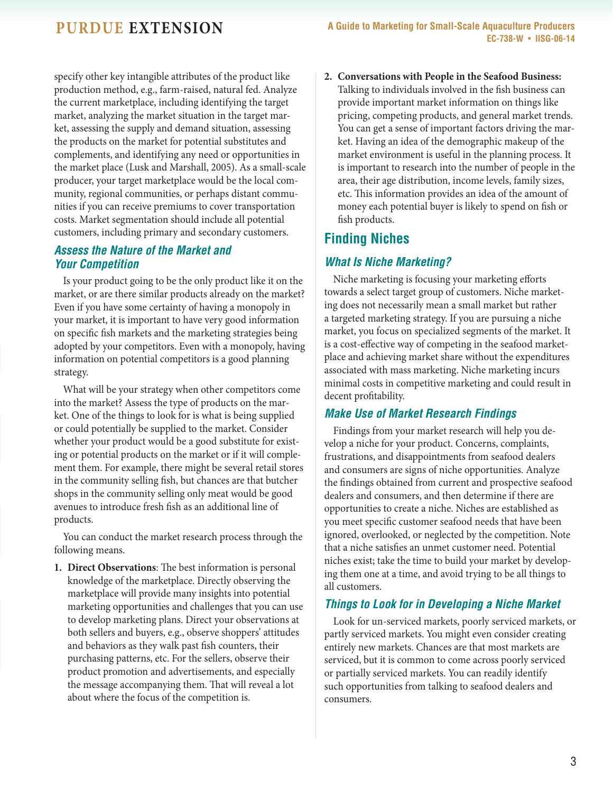specify other key intangible attributes of the product like production method, e.g., farm-raised, natural fed. Analyze the current marketplace, including identifying the target market, analyzing the market situation in the target market, assessing the supply and demand situation, assessing the products on the market for potential substitutes and complements, and identifying any need or opportunities in the market place (Lusk and Marshall, 2005). As a small-scale producer, your target marketplace would be the local community, regional communities, or perhaps distant communities if you can receive premiums to cover transportation costs. Market segmentation should include all potential customers, including primary and secondary customers.

## *Assess the Nature of the Market and Your Competition*

Is your product going to be the only product like it on the market, or are there similar products already on the market? Even if you have some certainty of having a monopoly in your market, it is important to have very good information on specific fish markets and the marketing strategies being adopted by your competitors. Even with a monopoly, having information on potential competitors is a good planning strategy.

What will be your strategy when other competitors come into the market? Assess the type of products on the market. One of the things to look for is what is being supplied or could potentially be supplied to the market. Consider whether your product would be a good substitute for existing or potential products on the market or if it will complement them. For example, there might be several retail stores in the community selling fish, but chances are that butcher shops in the community selling only meat would be good avenues to introduce fresh fish as an additional line of products.

You can conduct the market research process through the following means.

**1. Direct Observations**: The best information is personal knowledge of the marketplace. Directly observing the marketplace will provide many insights into potential marketing opportunities and challenges that you can use to develop marketing plans. Direct your observations at both sellers and buyers, e.g., observe shoppers' attitudes and behaviors as they walk past fish counters, their purchasing patterns, etc. For the sellers, observe their product promotion and advertisements, and especially the message accompanying them. That will reveal a lot about where the focus of the competition is.

**2. Conversations with People in the Seafood Business:** Talking to individuals involved in the fish business can provide important market information on things like pricing, competing products, and general market trends. You can get a sense of important factors driving the market. Having an idea of the demographic makeup of the market environment is useful in the planning process. It is important to research into the number of people in the area, their age distribution, income levels, family sizes, etc. This information provides an idea of the amount of money each potential buyer is likely to spend on fish or fish products.

## **Finding Niches**

## *What Is Niche Marketing?*

Niche marketing is focusing your marketing efforts towards a select target group of customers. Niche marketing does not necessarily mean a small market but rather a targeted marketing strategy. If you are pursuing a niche market, you focus on specialized segments of the market. It is a cost-effective way of competing in the seafood marketplace and achieving market share without the expenditures associated with mass marketing. Niche marketing incurs minimal costs in competitive marketing and could result in decent profitability.

## *Make Use of Market Research Findings*

Findings from your market research will help you develop a niche for your product. Concerns, complaints, frustrations, and disappointments from seafood dealers and consumers are signs of niche opportunities. Analyze the findings obtained from current and prospective seafood dealers and consumers, and then determine if there are opportunities to create a niche. Niches are established as you meet specific customer seafood needs that have been ignored, overlooked, or neglected by the competition. Note that a niche satisfies an unmet customer need. Potential niches exist; take the time to build your market by developing them one at a time, and avoid trying to be all things to all customers.

## *Things to Look for in Developing a Niche Market*

Look for un-serviced markets, poorly serviced markets, or partly serviced markets. You might even consider creating entirely new markets. Chances are that most markets are serviced, but it is common to come across poorly serviced or partially serviced markets. You can readily identify such opportunities from talking to seafood dealers and consumers.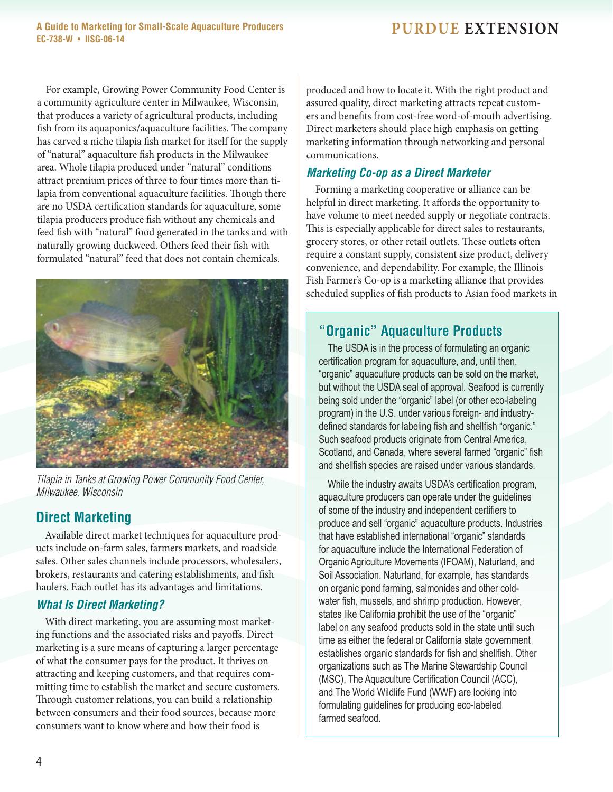**A Guide to Marketing for Small-Scale Aquaculture Producers Published PURDUE EXTENSION EC-738-W** • **IISG-06-14**

For example, Growing Power Community Food Center is a community agriculture center in Milwaukee, Wisconsin, that produces a variety of agricultural products, including fish from its aquaponics/aquaculture facilities. The company has carved a niche tilapia fish market for itself for the supply of "natural" aquaculture fish products in the Milwaukee area. Whole tilapia produced under "natural" conditions attract premium prices of three to four times more than tilapia from conventional aquaculture facilities. Though there are no USDA certification standards for aquaculture, some tilapia producers produce fish without any chemicals and feed fish with "natural" food generated in the tanks and with naturally growing duckweed. Others feed their fish with formulated "natural" feed that does not contain chemicals.



*Tilapia in Tanks at Growing Power Community Food Center, Milwaukee, Wisconsin*

## **Direct Marketing**

Available direct market techniques for aquaculture products include on-farm sales, farmers markets, and roadside sales. Other sales channels include processors, wholesalers, brokers, restaurants and catering establishments, and fish haulers. Each outlet has its advantages and limitations.

## *What Is Direct Marketing?*

With direct marketing, you are assuming most marketing functions and the associated risks and payoffs. Direct marketing is a sure means of capturing a larger percentage of what the consumer pays for the product. It thrives on attracting and keeping customers, and that requires committing time to establish the market and secure customers. Through customer relations, you can build a relationship between consumers and their food sources, because more consumers want to know where and how their food is

produced and how to locate it. With the right product and assured quality, direct marketing attracts repeat customers and benefits from cost-free word-of-mouth advertising. Direct marketers should place high emphasis on getting marketing information through networking and personal communications.

## *Marketing Co-op as a Direct Marketer*

Forming a marketing cooperative or alliance can be helpful in direct marketing. It affords the opportunity to have volume to meet needed supply or negotiate contracts. This is especially applicable for direct sales to restaurants, grocery stores, or other retail outlets. These outlets often require a constant supply, consistent size product, delivery convenience, and dependability. For example, the Illinois Fish Farmer's Co-op is a marketing alliance that provides scheduled supplies of fish products to Asian food markets in

## **"Organic" Aquaculture Products**

The USDA is in the process of formulating an organic certification program for aquaculture, and, until then, "organic" aquaculture products can be sold on the market, but without the USDA seal of approval. Seafood is currently being sold under the "organic" label (or other eco-labeling program) in the U.S. under various foreign- and industrydefined standards for labeling fish and shellfish "organic." Such seafood products originate from Central America, Scotland, and Canada, where several farmed "organic" fish and shellfish species are raised under various standards.

While the industry awaits USDA's certification program, aquaculture producers can operate under the guidelines of some of the industry and independent certifiers to produce and sell "organic" aquaculture products. Industries that have established international "organic" standards for aquaculture include the International Federation of Organic Agriculture Movements (IFOAM), Naturland, and Soil Association. Naturland, for example, has standards on organic pond farming, salmonides and other coldwater fish, mussels, and shrimp production. However, states like California prohibit the use of the "organic" label on any seafood products sold in the state until such time as either the federal or California state government establishes organic standards for fish and shellfish. Other organizations such as The Marine Stewardship Council (MSC), The Aquaculture Certification Council (ACC), and The World Wildlife Fund (WWF) are looking into formulating guidelines for producing eco-labeled farmed seafood.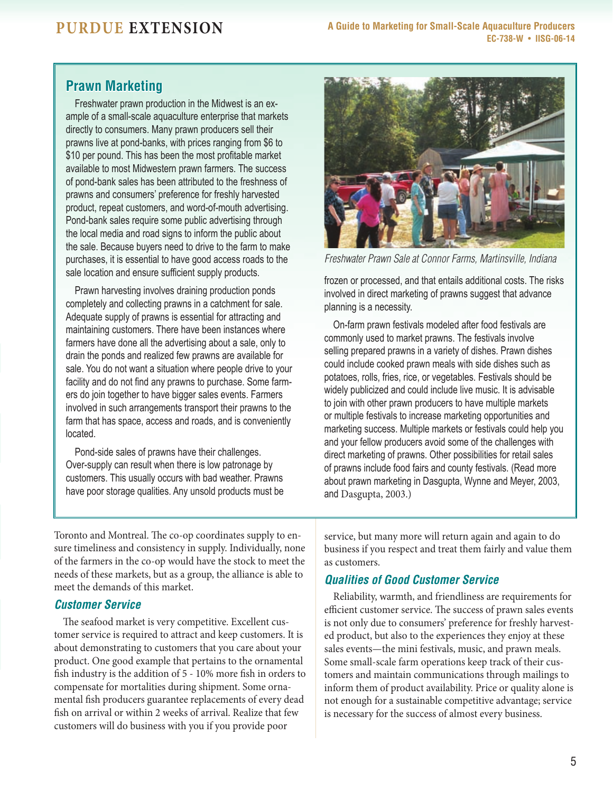## **Prawn Marketing**

Freshwater prawn production in the Midwest is an example of a small-scale aquaculture enterprise that markets directly to consumers. Many prawn producers sell their prawns live at pond-banks, with prices ranging from \$6 to \$10 per pound. This has been the most profitable market available to most Midwestern prawn farmers. The success of pond-bank sales has been attributed to the freshness of prawns and consumers' preference for freshly harvested product, repeat customers, and word-of-mouth advertising. Pond-bank sales require some public advertising through the local media and road signs to inform the public about the sale. Because buyers need to drive to the farm to make purchases, it is essential to have good access roads to the sale location and ensure sufficient supply products.

Prawn harvesting involves draining production ponds completely and collecting prawns in a catchment for sale. Adequate supply of prawns is essential for attracting and maintaining customers. There have been instances where farmers have done all the advertising about a sale, only to drain the ponds and realized few prawns are available for sale. You do not want a situation where people drive to your facility and do not find any prawns to purchase. Some farmers do join together to have bigger sales events. Farmers involved in such arrangements transport their prawns to the farm that has space, access and roads, and is conveniently located.

Pond-side sales of prawns have their challenges. Over-supply can result when there is low patronage by customers. This usually occurs with bad weather. Prawns have poor storage qualities. Any unsold products must be



*Freshwater Prawn Sale at Connor Farms, Martinsville, Indiana*

frozen or processed, and that entails additional costs. The risks involved in direct marketing of prawns suggest that advance planning is a necessity.

On-farm prawn festivals modeled after food festivals are commonly used to market prawns. The festivals involve selling prepared prawns in a variety of dishes. Prawn dishes could include cooked prawn meals with side dishes such as potatoes, rolls, fries, rice, or vegetables. Festivals should be widely publicized and could include live music. It is advisable to join with other prawn producers to have multiple markets or multiple festivals to increase marketing opportunities and marketing success. Multiple markets or festivals could help you and your fellow producers avoid some of the challenges with direct marketing of prawns. Other possibilities for retail sales of prawns include food fairs and county festivals. (Read more about prawn marketing in Dasgupta, Wynne and Meyer, 2003, and Dasgupta, 2003.)

Toronto and Montreal. The co-op coordinates supply to ensure timeliness and consistency in supply. Individually, none of the farmers in the co-op would have the stock to meet the needs of these markets, but as a group, the alliance is able to meet the demands of this market.

## *Customer Service*

The seafood market is very competitive. Excellent customer service is required to attract and keep customers. It is about demonstrating to customers that you care about your product. One good example that pertains to the ornamental fish industry is the addition of 5 - 10% more fish in orders to compensate for mortalities during shipment. Some ornamental fish producers guarantee replacements of every dead fish on arrival or within 2 weeks of arrival. Realize that few customers will do business with you if you provide poor

service, but many more will return again and again to do business if you respect and treat them fairly and value them as customers.

## *Qualities of Good Customer Service*

Reliability, warmth, and friendliness are requirements for efficient customer service. The success of prawn sales events is not only due to consumers' preference for freshly harvested product, but also to the experiences they enjoy at these sales events—the mini festivals, music, and prawn meals. Some small-scale farm operations keep track of their customers and maintain communications through mailings to inform them of product availability. Price or quality alone is not enough for a sustainable competitive advantage; service is necessary for the success of almost every business.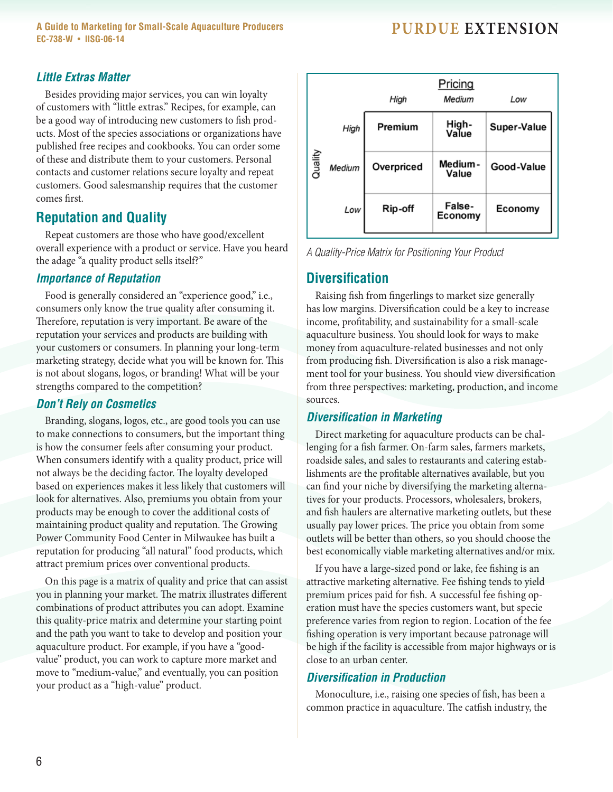**A** Guide to Marketing for Small-Scale Aquaculture Producers **PURDUE EXTENSION EC-738-W** • **IISG-06-14**

### *Little Extras Matter*

Besides providing major services, you can win loyalty of customers with "little extras." Recipes, for example, can be a good way of introducing new customers to fish products. Most of the species associations or organizations have published free recipes and cookbooks. You can order some of these and distribute them to your customers. Personal contacts and customer relations secure loyalty and repeat customers. Good salesmanship requires that the customer comes first.

## **Reputation and Quality**

Repeat customers are those who have good/excellent overall experience with a product or service. Have you heard the adage "a quality product sells itself?"

### *Importance of Reputation*

Food is generally considered an "experience good," i.e., consumers only know the true quality after consuming it. Therefore, reputation is very important. Be aware of the reputation your services and products are building with your customers or consumers. In planning your long-term marketing strategy, decide what you will be known for. This is not about slogans, logos, or branding! What will be your strengths compared to the competition?

### *Don't Rely on Cosmetics*

Branding, slogans, logos, etc., are good tools you can use to make connections to consumers, but the important thing is how the consumer feels after consuming your product. When consumers identify with a quality product, price will not always be the deciding factor. The loyalty developed based on experiences makes it less likely that customers will look for alternatives. Also, premiums you obtain from your products may be enough to cover the additional costs of maintaining product quality and reputation. The Growing Power Community Food Center in Milwaukee has built a reputation for producing "all natural" food products, which attract premium prices over conventional products.

On this page is a matrix of quality and price that can assist you in planning your market. The matrix illustrates different combinations of product attributes you can adopt. Examine this quality-price matrix and determine your starting point and the path you want to take to develop and position your aquaculture product. For example, if you have a "goodvalue" product, you can work to capture more market and move to "medium-value," and eventually, you can position your product as a "high-value" product.

|         |        | High       | Pricing<br>Medium | Low         |
|---------|--------|------------|-------------------|-------------|
|         | High   | Premium    | High-<br>Value    | Super-Value |
| Quality | Medium | Overpriced | Medium-<br>Value  | Good-Value  |
|         | Low    | Rip-off    | False-<br>Economy | Economy     |

*A Quality-Price Matrix for Positioning Your Product*

## **Diversification**

Raising fish from fingerlings to market size generally has low margins. Diversification could be a key to increase income, profitability, and sustainability for a small-scale aquaculture business. You should look for ways to make money from aquaculture-related businesses and not only from producing fish. Diversification is also a risk management tool for your business. You should view diversification from three perspectives: marketing, production, and income sources.

### *Diversification in Marketing*

Direct marketing for aquaculture products can be challenging for a fish farmer. On-farm sales, farmers markets, roadside sales, and sales to restaurants and catering establishments are the profitable alternatives available, but you can find your niche by diversifying the marketing alternatives for your products. Processors, wholesalers, brokers, and fish haulers are alternative marketing outlets, but these usually pay lower prices. The price you obtain from some outlets will be better than others, so you should choose the best economically viable marketing alternatives and/or mix.

If you have a large-sized pond or lake, fee fishing is an attractive marketing alternative. Fee fishing tends to yield premium prices paid for fish. A successful fee fishing operation must have the species customers want, but specie preference varies from region to region. Location of the fee fishing operation is very important because patronage will be high if the facility is accessible from major highways or is close to an urban center.

### *Diversification in Production*

Monoculture, i.e., raising one species of fish, has been a common practice in aquaculture. The catfish industry, the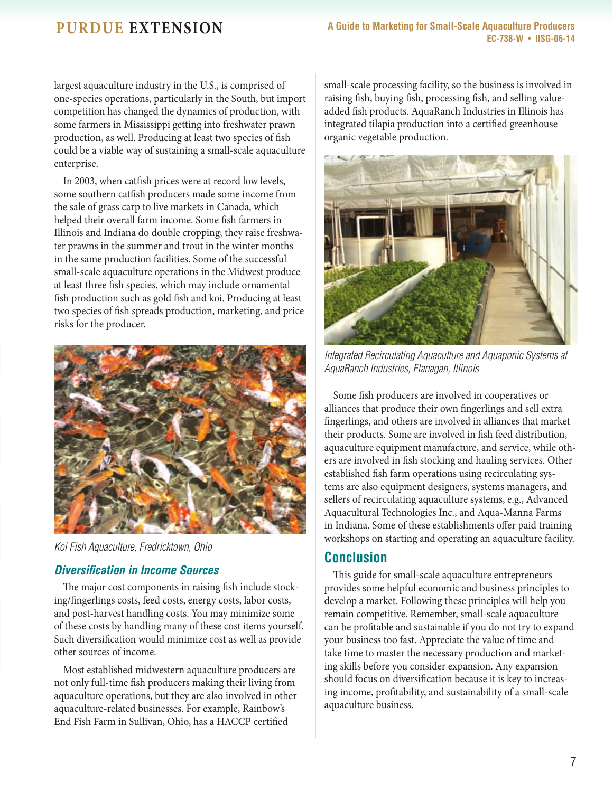largest aquaculture industry in the U.S., is comprised of one-species operations, particularly in the South, but import competition has changed the dynamics of production, with some farmers in Mississippi getting into freshwater prawn production, as well. Producing at least two species of fish could be a viable way of sustaining a small-scale aquaculture enterprise.

In 2003, when catfish prices were at record low levels, some southern catfish producers made some income from the sale of grass carp to live markets in Canada, which helped their overall farm income. Some fish farmers in Illinois and Indiana do double cropping; they raise freshwater prawns in the summer and trout in the winter months in the same production facilities. Some of the successful small-scale aquaculture operations in the Midwest produce at least three fish species, which may include ornamental fish production such as gold fish and koi. Producing at least two species of fish spreads production, marketing, and price risks for the producer.



*Koi Fish Aquaculture, Fredricktown, Ohio*

## *Diversification in Income Sources*

The major cost components in raising fish include stocking/fingerlings costs, feed costs, energy costs, labor costs, and post-harvest handling costs. You may minimize some of these costs by handling many of these cost items yourself. Such diversification would minimize cost as well as provide other sources of income.

Most established midwestern aquaculture producers are not only full-time fish producers making their living from aquaculture operations, but they are also involved in other aquaculture-related businesses. For example, Rainbow's End Fish Farm in Sullivan, Ohio, has a HACCP certified

small-scale processing facility, so the business is involved in raising fish, buying fish, processing fish, and selling valueadded fish products. AquaRanch Industries in Illinois has integrated tilapia production into a certified greenhouse organic vegetable production.



*Integrated Recirculating Aquaculture and Aquaponic Systems at AquaRanch Industries, Flanagan, Illinois*

Some fish producers are involved in cooperatives or alliances that produce their own fingerlings and sell extra fingerlings, and others are involved in alliances that market their products. Some are involved in fish feed distribution, aquaculture equipment manufacture, and service, while others are involved in fish stocking and hauling services. Other established fish farm operations using recirculating systems are also equipment designers, systems managers, and sellers of recirculating aquaculture systems, e.g., Advanced Aquacultural Technologies Inc., and Aqua-Manna Farms in Indiana. Some of these establishments offer paid training workshops on starting and operating an aquaculture facility.

## **Conclusion**

This guide for small-scale aquaculture entrepreneurs provides some helpful economic and business principles to develop a market. Following these principles will help you remain competitive. Remember, small-scale aquaculture can be profitable and sustainable if you do not try to expand your business too fast. Appreciate the value of time and take time to master the necessary production and marketing skills before you consider expansion. Any expansion should focus on diversification because it is key to increasing income, profitability, and sustainability of a small-scale aquaculture business.